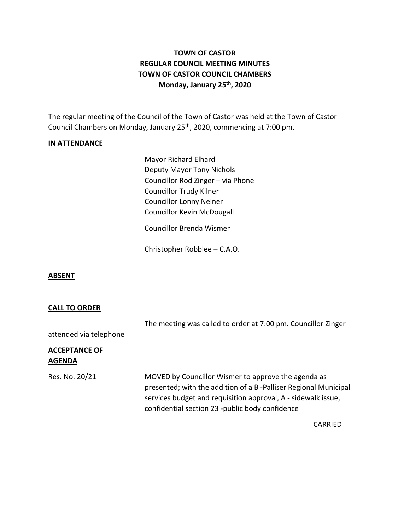# **TOWN OF CASTOR REGULAR COUNCIL MEETING MINUTES TOWN OF CASTOR COUNCIL CHAMBERS Monday, January 25th , 2020**

The regular meeting of the Council of the Town of Castor was held at the Town of Castor Council Chambers on Monday, January 25<sup>th</sup>, 2020, commencing at 7:00 pm.

## **IN ATTENDANCE**

Mayor Richard Elhard Deputy Mayor Tony Nichols Councillor Rod Zinger – via Phone Councillor Trudy Kilner Councillor Lonny Nelner Councillor Kevin McDougall

Councillor Brenda Wismer

Christopher Robblee – C.A.O.

#### **ABSENT**

#### **CALL TO ORDER**

|                                       | The meeting was called to order at 7:00 pm. Councillor Zinger                                                                                                                                                                              |
|---------------------------------------|--------------------------------------------------------------------------------------------------------------------------------------------------------------------------------------------------------------------------------------------|
| attended via telephone                |                                                                                                                                                                                                                                            |
| <b>ACCEPTANCE OF</b><br><b>AGENDA</b> |                                                                                                                                                                                                                                            |
| Res. No. 20/21                        | MOVED by Councillor Wismer to approve the agenda as<br>presented; with the addition of a B-Palliser Regional Municipal<br>services budget and requisition approval, A - sidewalk issue,<br>confidential section 23 -public body confidence |
|                                       | CARRIED                                                                                                                                                                                                                                    |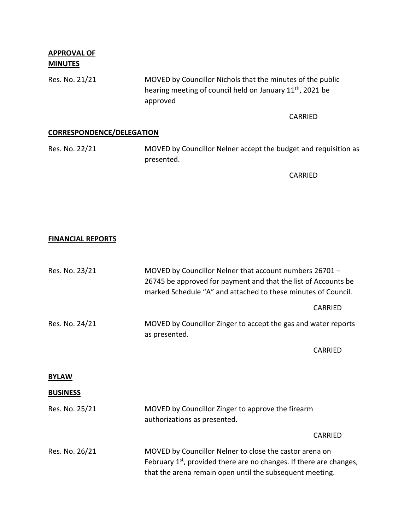**APPROVAL OF MINUTES**

Res. No. 21/21 MOVED by Councillor Nichols that the minutes of the public hearing meeting of council held on January 11th, 2021 be approved

CARRIED

# **CORRESPONDENCE/DELEGATION**

| Res. No. 22/21 | MOVED by Councillor Nelner accept the budget and requisition as |
|----------------|-----------------------------------------------------------------|
|                | presented.                                                      |

CARRIED

### **FINANCIAL REPORTS**

| Res. No. 23/21 | MOVED by Councillor Nelner that account numbers 26701 -<br>26745 be approved for payment and that the list of Accounts be<br>marked Schedule "A" and attached to these minutes of Council. |         |
|----------------|--------------------------------------------------------------------------------------------------------------------------------------------------------------------------------------------|---------|
|                |                                                                                                                                                                                            | CARRIED |
| Res. No. 24/21 | MOVED by Councillor Zinger to accept the gas and water reports<br>as presented.                                                                                                            |         |
|                |                                                                                                                                                                                            | CARRIED |
|                |                                                                                                                                                                                            |         |

#### **BYLAW**

### **BUSINESS**

| Res. No. 25/21 | MOVED by Councillor Zinger to approve the firearm<br>authorizations as presented.                                                                                                                      |
|----------------|--------------------------------------------------------------------------------------------------------------------------------------------------------------------------------------------------------|
|                | CARRIED                                                                                                                                                                                                |
| Res. No. 26/21 | MOVED by Councillor Nelner to close the castor arena on<br>February 1 <sup>st</sup> , provided there are no changes. If there are changes,<br>that the arena remain open until the subsequent meeting. |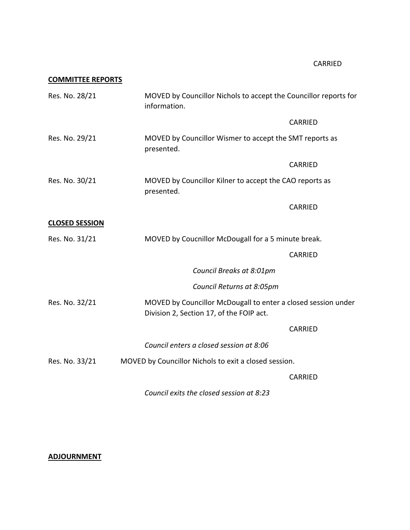# **COMMITTEE REPORTS**

| Res. No. 28/21        | MOVED by Councillor Nichols to accept the Councillor reports for<br>information.                          |
|-----------------------|-----------------------------------------------------------------------------------------------------------|
|                       | <b>CARRIED</b>                                                                                            |
| Res. No. 29/21        | MOVED by Councillor Wismer to accept the SMT reports as<br>presented.                                     |
|                       | <b>CARRIED</b>                                                                                            |
| Res. No. 30/21        | MOVED by Councillor Kilner to accept the CAO reports as<br>presented.                                     |
|                       | <b>CARRIED</b>                                                                                            |
| <b>CLOSED SESSION</b> |                                                                                                           |
| Res. No. 31/21        | MOVED by Coucnillor McDougall for a 5 minute break.                                                       |
|                       | CARRIED                                                                                                   |
|                       | Council Breaks at 8:01pm                                                                                  |
|                       | Council Returns at 8:05pm                                                                                 |
| Res. No. 32/21        | MOVED by Councillor McDougall to enter a closed session under<br>Division 2, Section 17, of the FOIP act. |
|                       | CARRIED                                                                                                   |
|                       | Council enters a closed session at 8:06                                                                   |
| Res. No. 33/21        | MOVED by Councillor Nichols to exit a closed session.                                                     |
|                       | <b>CARRIED</b>                                                                                            |

*Council exits the closed session at 8:23*

## **ADJOURNMENT**